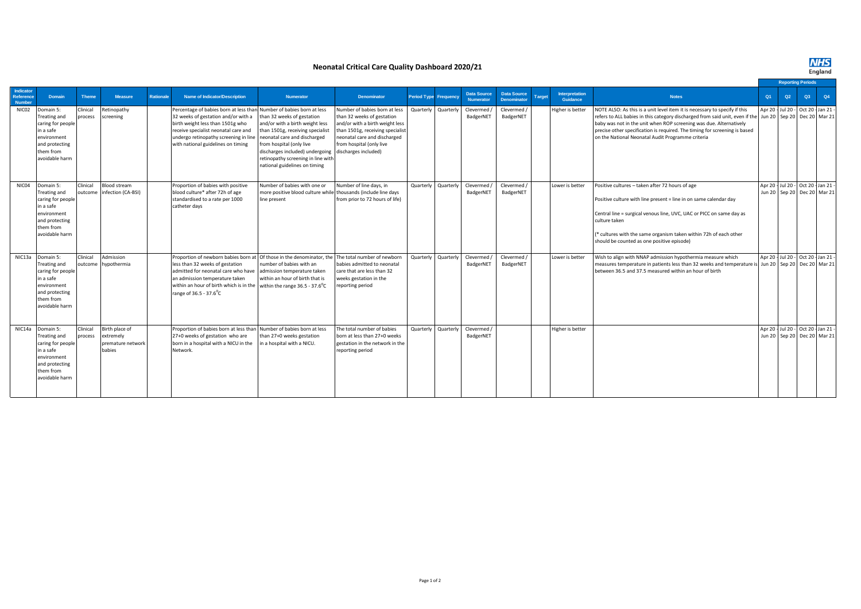**NHS**<br>England

## **Neonatal Critical Care Quality Dashboard 2020/21**

|                                         |                                                                                                                                    |                     |                                                            |                  |                                                                                                                                                                                                                                                                                                       |                                                                                                                                                                                                                                                                         |                                                                                                                                                                                                                        |                              |           |                                        |                                          |               |                                   |                                                                                                                                                                                                                                                                                                                                                                     |    |                                                                    | <b>Reporting Periods</b> |  |    |
|-----------------------------------------|------------------------------------------------------------------------------------------------------------------------------------|---------------------|------------------------------------------------------------|------------------|-------------------------------------------------------------------------------------------------------------------------------------------------------------------------------------------------------------------------------------------------------------------------------------------------------|-------------------------------------------------------------------------------------------------------------------------------------------------------------------------------------------------------------------------------------------------------------------------|------------------------------------------------------------------------------------------------------------------------------------------------------------------------------------------------------------------------|------------------------------|-----------|----------------------------------------|------------------------------------------|---------------|-----------------------------------|---------------------------------------------------------------------------------------------------------------------------------------------------------------------------------------------------------------------------------------------------------------------------------------------------------------------------------------------------------------------|----|--------------------------------------------------------------------|--------------------------|--|----|
| Indicator<br>Reference<br><b>Number</b> | Domain                                                                                                                             | <b>Theme</b>        | <b>Measure</b>                                             | <b>Rationale</b> | <b>Name of Indicator/Description</b>                                                                                                                                                                                                                                                                  | <b>Numerator</b>                                                                                                                                                                                                                                                        | <b>Denominator</b>                                                                                                                                                                                                     | <b>Period Type Frequency</b> |           | <b>Data Source</b><br><b>Numerator</b> | <b>Data Source</b><br><b>Denominator</b> | <b>Target</b> | <b>Interpretation</b><br>Guidance | <b>Notes</b>                                                                                                                                                                                                                                                                                                                                                        | Q1 | Q2                                                                 | Q3                       |  | Q4 |
| NIC02                                   | Domain 5:<br>Treating and<br>caring for people<br>in a safe<br>environment<br>and protecting<br>them from<br>avoidable harm        | Clinical<br>process | Retinopathy<br>screening                                   |                  | Percentage of babies born at less than Number of babies born at less<br>32 weeks of gestation and/or with a<br>birth weight less than 1501g who<br>receive specialist neonatal care and<br>undergo retinopathy screening in line<br>with national guidelines on timing                                | than 32 weeks of gestation<br>and/or with a birth weight less<br>than 1501g, receiving specialist<br>neonatal care and discharged<br>from hospital (only live<br>discharges included) undergoing<br>retinopathy screening in line with<br>national guidelines on timing | Number of babies born at less<br>than 32 weeks of gestation<br>and/or with a birth weight less<br>than 1501g, receiving specialist<br>neonatal care and discharged<br>from hospital (only live<br>discharges included) | Quarterly                    | Quarterly | Clevermed /<br>BadgerNET               | Clevermed /<br>BadgerNET                 |               | Higher is better                  | NOTE ALSO: As this is a unit level item it is necessary to specify if this<br>refers to ALL babies in this category discharged from said unit, even if the<br>baby was not in the unit when ROP screening was due. Alternatively<br>precise other specification is required. The timing for screening is based<br>on the National Neonatal Audit Programme criteria |    | Apr 20 - Jul 20 - Oct 20 - Jan 21 -<br>Jun 20 Sep 20 Dec 20 Mar 21 |                          |  |    |
| NIC04                                   | Oomain 5:<br><b>Treating and</b><br>caring for people<br>in a safe<br>environment<br>and protecting<br>them from<br>avoidable harm | Clinical<br>outcome | Blood stream<br>infection (CA-BSI)                         |                  | Proportion of babies with positive<br>blood culture* after 72h of age<br>standardised to a rate per 1000<br>catheter days                                                                                                                                                                             | Number of babies with one or<br>more positive blood culture while<br>line present                                                                                                                                                                                       | Number of line days, in<br>thousands (include line days<br>from prior to 72 hours of life)                                                                                                                             | Quarterly                    | Quarterly | Clevermed /<br>BadgerNET               | Clevermed /<br>BadgerNET                 |               | Lower is better                   | Positive cultures - taken after 72 hours of age<br>Positive culture with line present = line in on same calendar day<br>Central line = surgical venous line, UVC, UAC or PICC on same day as<br>culture taken<br>(* cultures with the same organism taken within 72h of each other<br>should be counted as one positive episode)                                    |    | Apr 20 - Jul 20 - Oct 20 - Jan 21 -<br>Jun 20 Sep 20 Dec 20 Mar 21 |                          |  |    |
| NIC13a                                  | Domain 5:<br>Treating and<br>caring for people<br>in a safe<br>environment<br>and protecting<br>them from<br>avoidable harm        | Clinical<br>outcome | Admission<br>hypothermia                                   |                  | Proportion of newborn babies born at Of those in the denominator, the<br>less than 32 weeks of gestation<br>admitted for neonatal care who have<br>an admission temperature taken<br>within an hour of birth which is in the within the range $36.5 - 37.6^0C$<br>range of 36.5 - 37.6 <sup>°</sup> C | number of babies with an<br>admission temperature taken<br>within an hour of birth that is                                                                                                                                                                              | The total number of newborn<br>babies admitted to neonatal<br>care that are less than 32<br>weeks gestation in the<br>reporting period                                                                                 | Quarterly                    | Quarterly | Clevermed /<br>BadgerNET               | Clevermed /<br>BadgerNET                 |               | Lower is better                   | Wish to align with NNAP admission hypothermia measure which<br>measures temperature in patients less than 32 weeks and temperature is<br>between 36.5 and 37.5 measured within an hour of birth                                                                                                                                                                     |    | Apr 20 - Jul 20 - Oct 20 - Jan 21 -<br>Jun 20 Sep 20 Dec 20 Mar 21 |                          |  |    |
| NIC14a                                  | Domain 5:<br>Treating and<br>caring for people<br>in a safe<br>environment<br>and protecting<br>them from<br>avoidable harm        | Clinical<br>process | Birth place of<br>extremely<br>premature network<br>babies |                  | Proportion of babies born at less than Number of babies born at less<br>27+0 weeks of gestation who are<br>born in a hospital with a NICU in the<br>Network.                                                                                                                                          | than 27+0 weeks gestation<br>in a hospital with a NICU.                                                                                                                                                                                                                 | The total number of babies<br>born at less than 27+0 weeks<br>gestation in the network in the<br>reporting period                                                                                                      | Quarterly                    | Quarterly | Clevermed /<br>BadgerNET               |                                          |               | Higher is better                  |                                                                                                                                                                                                                                                                                                                                                                     |    | Apr 20 - Jul 20 - Oct 20 - Jan 21 -<br>Jun 20 Sep 20 Dec 20 Mar 21 |                          |  |    |